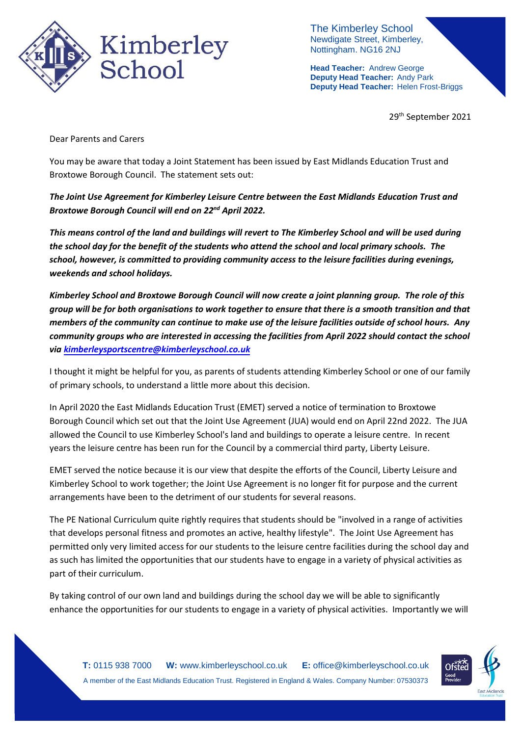

The Kimberley School Newdigate Street, Kimberley, Nottingham. NG16 2NJ

**Head Teacher:** Andrew George **Deputy Head Teacher:** Andy Park **Deputy Head Teacher:** Helen Frost-Briggs

29th September 2021

Dear Parents and Carers

You may be aware that today a Joint Statement has been issued by East Midlands Education Trust and Broxtowe Borough Council. The statement sets out:

*The Joint Use Agreement for Kimberley Leisure Centre between the East Midlands Education Trust and Broxtowe Borough Council will end on 22nd April 2022.* 

*This means control of the land and buildings will revert to The Kimberley School and will be used during the school day for the benefit of the students who attend the school and local primary schools. The school, however, is committed to providing community access to the leisure facilities during evenings, weekends and school holidays.* 

*Kimberley School and Broxtowe Borough Council will now create a joint planning group. The role of this group will be for both organisations to work together to ensure that there is a smooth transition and that members of the community can continue to make use of the leisure facilities outside of school hours. Any community groups who are interested in accessing the facilities from April 2022 should contact the school via [kimberleysportscentre@kimberleyschool.co.uk](mailto:kimberleysportscentre@kimberleyschool.co.uk)*

I thought it might be helpful for you, as parents of students attending Kimberley School or one of our family of primary schools, to understand a little more about this decision.

In April 2020 the East Midlands Education Trust (EMET) served a notice of termination to Broxtowe Borough Council which set out that the Joint Use Agreement (JUA) would end on April 22nd 2022. The JUA allowed the Council to use Kimberley School's land and buildings to operate a leisure centre. In recent years the leisure centre has been run for the Council by a commercial third party, Liberty Leisure.

EMET served the notice because it is our view that despite the efforts of the Council, Liberty Leisure and Kimberley School to work together; the Joint Use Agreement is no longer fit for purpose and the current arrangements have been to the detriment of our students for several reasons.

The PE National Curriculum quite rightly requires that students should be "involved in a range of activities that develops personal fitness and promotes an active, healthy lifestyle". The Joint Use Agreement has permitted only very limited access for our students to the leisure centre facilities during the school day and as such has limited the opportunities that our students have to engage in a variety of physical activities as part of their curriculum.

By taking control of our own land and buildings during the school day we will be able to significantly enhance the opportunities for our students to engage in a variety of physical activities. Importantly we will